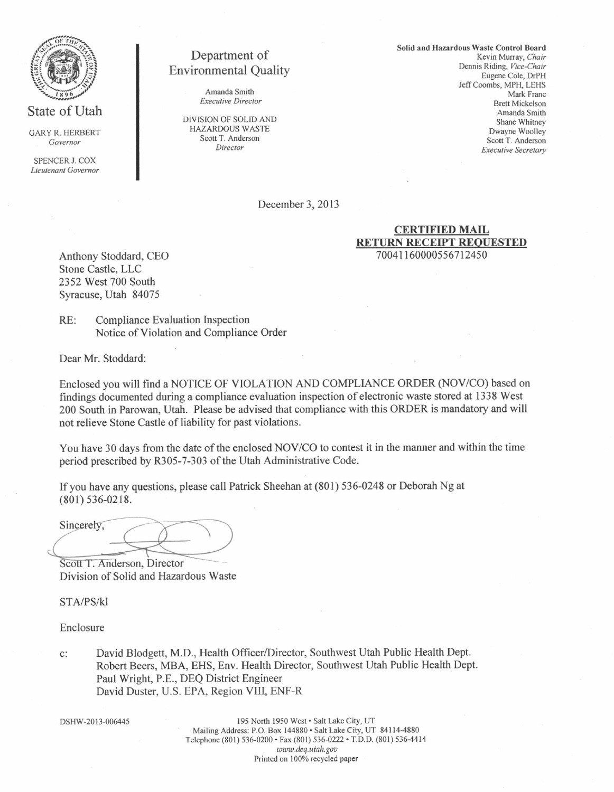

GARY R. HERBERT<br>Governor

SPENCER J. COX Lieutenant Oovemor

# Department of Environmental Quality

Amanda Smith Executive Director

DIVISION OF SOLID AND HAZARDOUS WASTE Scott T. Anderson Director

Solid and Hazardous Waste Control Board Kevin Murray, Chair Dennis Riding, Vice-Chair Eugene Cole, DrPH Jeff Coombs, MPH, LEHS Mark Franc Brett Mickelson Amanda Smirh Shane Whitney Dwayne Woolley Scott T. Anderson **Executive Secretary** 

December 3, 2013

#### CERTIFIED MAIL RETURN RECEIPT REQUESTED 70041 160000556712450

Anthony Stoddard, CEO Stone Castle, LLC 2352 West 700 South Syracuse, Utah 84075

RE: Compliance Evaluation Inspection Notice of Violation and Compliance Order

Dear Mr. Stoddard:

Enclosed you will find a NOTICE OF VIOLATION AND COMPLIANCE ORDER (NOV/CO) based on findings documented during a compliance evaluation inspection of electronic waste stored at 1338 West 200 South in Parowan, Utah. Please be advised that compliance with this ORDER is mandatory and will not relieve Stone Castle of liability for past violations.

You have 30 days from the date of the enclosed NOV/CO to contest it in the manner and within the time period prescribed by R305-7-303 of the Utah Administrative Code.

Ifyou have any questions, please call Patrick Sheehan at (801) 536-0248 or Deborah Ng at (801) 536-0218.

Sincerely,

Scott T. Anderson, Director Division of Solid and Hazardous

STA/PS/KI

Enclosure

David Blodgett, M.D., Health Officer/Director, Southwest Utah Public Health Dept.  $\mathbf{C}$ : Robert Beers, MBA, EHS, Env. Health Director, Southwest Utah Public Health Dept. Paul Wright, P.E., DEQ District Engineer David Duster, U.S. EPA, Region VIII, ENF-R

DSHW-2013-006445

195 North 1950 West · Salt Lake City, UT Mailing Address: P.O. Box 144880 · Salt Lake City, UT 84114-4880 Telephone (801) 536-0200 · Fax (801) 536-0222 · T.D.D. (801) 536-4414 www.deq.utah.gov Printed on 100% recycled paper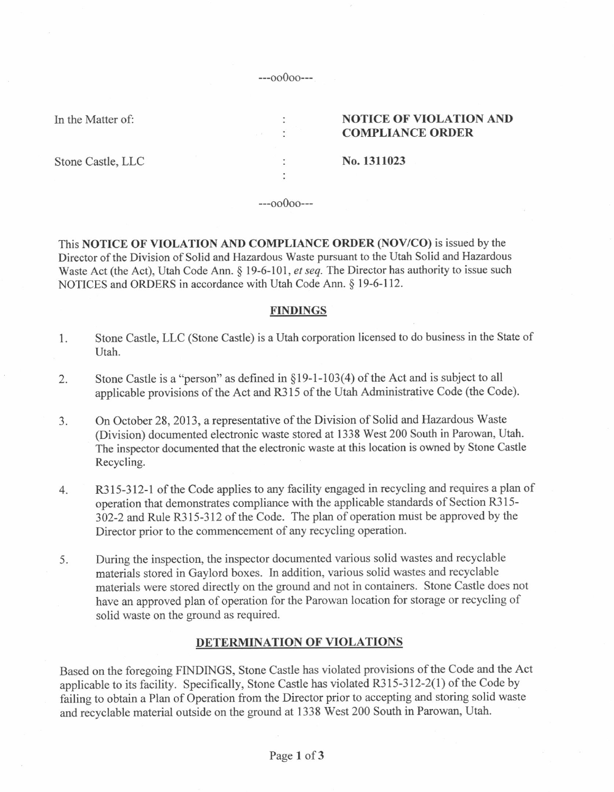---oo000---

 $\ddot{\phantom{a}}$  $\bullet$ 

 $\ddot{\cdot}$  $\ddot{\cdot}$ 

In the Matter of:

### NOTICE OF VIOLATION AND COMPLIANCE ORDER

Stone Castle, LLC

No. 1311023

---oo0oo---

This NOTICE OF VIOLATION AND COMPLIANCE ORDER (NOV/CO) is issued by the Director of the Division of Solid and Hazardous Waste pursuant to the Utah Solid and Hazardous Waste Act (the Act), Utah Code Ann. § 19-6-101, et seq. The Director has authority to issue such NOTICES and ORDERS in accordance with Utah Code Ann. \$ l9-6-112.

# FINDINGS

- 1. Stone Castle, LLC (Stone Castle) is a Utah corporation licensed to do business in the State of Utah.
- 2. Stone Castle is a "person" as defined in  $\S 19-1-103(4)$  of the Act and is subject to all applicable provisions of the Act and R315 of the Utah Administrative Code (the Code).
- 3. On October 28, 2013, a representative of the Division of Solid and Hazaxdous Waste (Division) documented electronic waste stored at 1338 West 200 South in Parowan, Utah. The inspector documented that the electronic waste at this location is owned by Stone Castle Recycling.
- 4. R3 15-312-1 of the Code applies to any facility engaged in recycling and requires a plan of operation that demonstrates compliance with the applicable standards of Section R315- 302-2 and Rule R315-312 of the Code. The plan of operation must be approved by the Director prior to the commencement of any recycling operation.
- 5. During the inspection, the inspector documented various solid wastes and recyclable materials stored in Gaylord boxes. In addition, various solid wastes and recyclable materials were stored directly on the ground and not in containers. Stone Castle does not have an approved plan of operation for the Parowan location for storage or recycling of solid waste on the ground as required.

# DETERMINATION OF VIOLATIONS

Based on the foregoing FINDINGS, Stone Castle has violated provisions of the Code and the Act applicable to its facility. Specifically, Stone Castle has violated R315-312-2(1) of the Code by failing to obtain a Plan of Operation from the Director prior to accepting and storing solid waste and recyclable material outside on the ground at 1338 West 200 South in Parowan, Utah.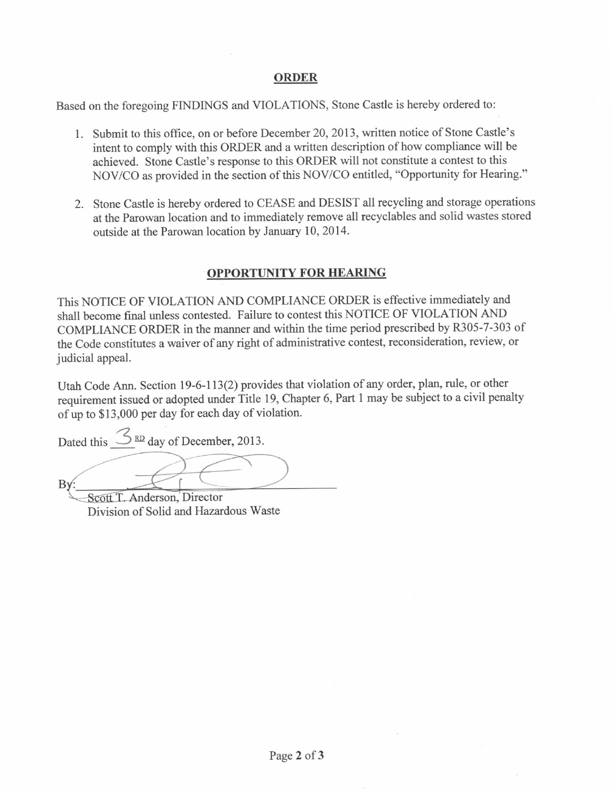# ORDER

Based on the foregoing FINDINGS and VIOLATIONS, Stone Castle is hereby ordered to:

- l. Submit to this office, on or before December 20,2013, written notice of Stone Castle's intent to comply with this ORDER and a written description of how compliance will be achieved. Stone Castle's response to this ORDER will not constitute a contest to this NOV/CO as provided in the section of this NOV/CO entitled, "Opportunity for Hearing."
- 2. Stone Castle is hereby ordered to CEASE and DESIST all recycling and storage operations at the Parowan location and to immediately remove all recyclables and solid wastes stored outside at the Parowan location by January 10, 2014.

#### OPPORTUNITY FOR HEARING

This NoTICE OF VIOLATION AND COMPLIANCE ORDER is effective immediately and shall become final unless contested. Failure to contest this N0TICE OF VIOLATION AND COMPLIANCE ORDER in the manner and within the time period prescribed by R305-7-303 of the Code constitutes a waiver of any right of administrative contest, reconsideration, review, or judicial appeal.

Utah Code Ann. Section 19-6-113(2) provides that violation of any order, plan, rule, or other requirement issued or adopted under Title 19, Chapter 6, Part I may be subject to a civil penalty of up to \$13,000 per day for each day of violation.

Dated this  $\frac{3 \text{ RD}}{2}$  day of December, 2013.

Scott T. Anderson, Director Division of Solid and Hazardous Waste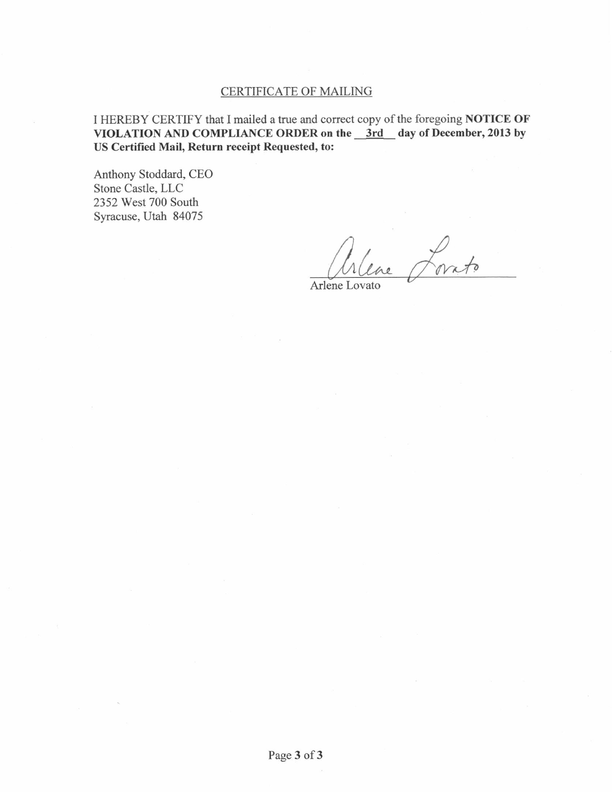# CERTIFICATE OF MAILING

I HEREBY CERTIFY that I mailed a true and correct copy of the foregoing NOTICE OF VIOLATION AND COMPLIANCE ORDER on the 3rd day of December, 2013 by US Certified Mail, Return receipt Requested, to:

Anthony Stoddard, CEO Stone Castle, LLC 2352 West 700 South Syracuse, Utah 84075

Arlene Lovato